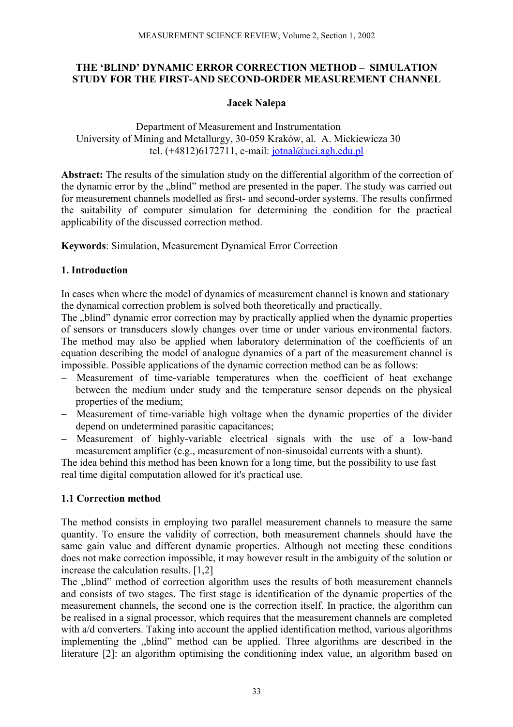## **THE 'BLIND' DYNAMIC ERROR CORRECTION METHOD – SIMULATION STUDY FOR THE FIRST-AND SECOND-ORDER MEASUREMENT CHANNEL**

## **Jacek Nalepa**

Department of Measurement and Instrumentation University of Mining and Metallurgy, 30-059 Kraków, al. A. Mickiewicza 30 tel.  $(+4812)6172711$ , e-mail: [jotnal@uci.agh.edu.pl](mailto:jotnal@uci.agh.edu.pl)

**Abstract:** The results of the simulation study on the differential algorithm of the correction of the dynamic error by the ..blind" method are presented in the paper. The study was carried out for measurement channels modelled as first- and second-order systems. The results confirmed the suitability of computer simulation for determining the condition for the practical applicability of the discussed correction method.

**Keywords**: Simulation, Measurement Dynamical Error Correction

# **1. Introduction**

In cases when where the model of dynamics of measurement channel is known and stationary the dynamical correction problem is solved both theoretically and practically.

The ..blind" dynamic error correction may by practically applied when the dynamic properties of sensors or transducers slowly changes over time or under various environmental factors. The method may also be applied when laboratory determination of the coefficients of an equation describing the model of analogue dynamics of a part of the measurement channel is impossible. Possible applications of the dynamic correction method can be as follows:

- − Measurement of time-variable temperatures when the coefficient of heat exchange between the medium under study and the temperature sensor depends on the physical properties of the medium;
- − Measurement of time-variable high voltage when the dynamic properties of the divider depend on undetermined parasitic capacitances;
- − Measurement of highly-variable electrical signals with the use of a low-band measurement amplifier (e.g., measurement of non-sinusoidal currents with a shunt).

The idea behind this method has been known for a long time, but the possibility to use fast real time digital computation allowed for it's practical use.

# **1.1 Correction method**

The method consists in employing two parallel measurement channels to measure the same quantity. To ensure the validity of correction, both measurement channels should have the same gain value and different dynamic properties. Although not meeting these conditions does not make correction impossible, it may however result in the ambiguity of the solution or increase the calculation results. [1,2]

The "blind" method of correction algorithm uses the results of both measurement channels and consists of two stages. The first stage is identification of the dynamic properties of the measurement channels, the second one is the correction itself. In practice, the algorithm can be realised in a signal processor, which requires that the measurement channels are completed with a/d converters. Taking into account the applied identification method, various algorithms implementing the "blind" method can be applied. Three algorithms are described in the literature [2]: an algorithm optimising the conditioning index value, an algorithm based on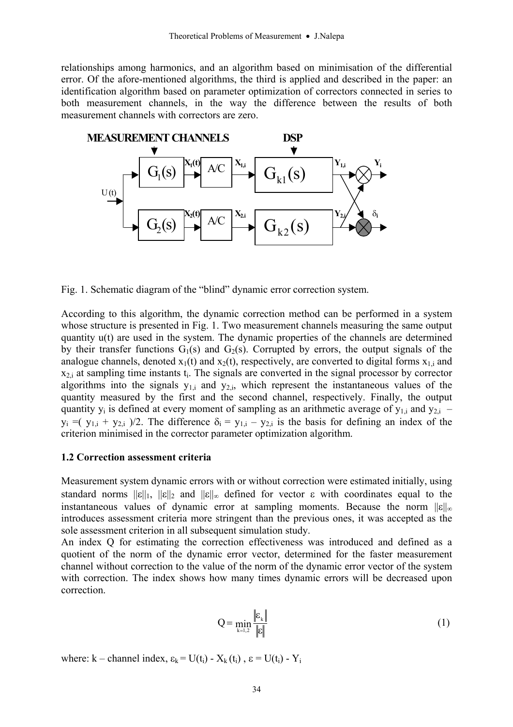relationships among harmonics, and an algorithm based on minimisation of the differential error. Of the afore-mentioned algorithms, the third is applied and described in the paper: an identification algorithm based on parameter optimization of correctors connected in series to both measurement channels, in the way the difference between the results of both measurement channels with correctors are zero.



Fig. 1. Schematic diagram of the "blind" dynamic error correction system.

According to this algorithm, the dynamic correction method can be performed in a system whose structure is presented in Fig. 1. Two measurement channels measuring the same output quantity u(t) are used in the system. The dynamic properties of the channels are determined by their transfer functions  $G_1(s)$  and  $G_2(s)$ . Corrupted by errors, the output signals of the analogue channels, denoted  $x_1(t)$  and  $x_2(t)$ , respectively, are converted to digital forms  $x_{1,i}$  and  $x_{2,i}$  at sampling time instants  $t_i$ . The signals are converted in the signal processor by corrector algorithms into the signals  $y_{1,i}$  and  $y_{2,i}$ , which represent the instantaneous values of the quantity measured by the first and the second channel, respectively. Finally, the output quantity  $y_i$  is defined at every moment of sampling as an arithmetic average of  $y_{1,i}$  and  $y_{2,i}$  –  $y_i = (y_{1,i} + y_{2,i})/2$ . The difference  $\delta_i = y_{1,i} - y_{2,i}$  is the basis for defining an index of the criterion minimised in the corrector parameter optimization algorithm.

### **1.2 Correction assessment criteria**

Measurement system dynamic errors with or without correction were estimated initially, using standard norms  $||\varepsilon||_1$ ,  $||\varepsilon||_2$  and  $||\varepsilon||_{\infty}$  defined for vector  $\varepsilon$  with coordinates equal to the instantaneous values of dynamic error at sampling moments. Because the norm  $||\varepsilon||_{\infty}$ introduces assessment criteria more stringent than the previous ones, it was accepted as the sole assessment criterion in all subsequent simulation study.

An index Q for estimating the correction effectiveness was introduced and defined as a quotient of the norm of the dynamic error vector, determined for the faster measurement channel without correction to the value of the norm of the dynamic error vector of the system with correction. The index shows how many times dynamic errors will be decreased upon correction.

$$
Q = \min_{k=1,2} \frac{\left| \varepsilon_k \right|}{\left| \varepsilon \right|} \tag{1}
$$

where: k – channel index,  $\varepsilon_k = U(t_i) - X_k(t_i)$ ,  $\varepsilon = U(t_i) - Y_i$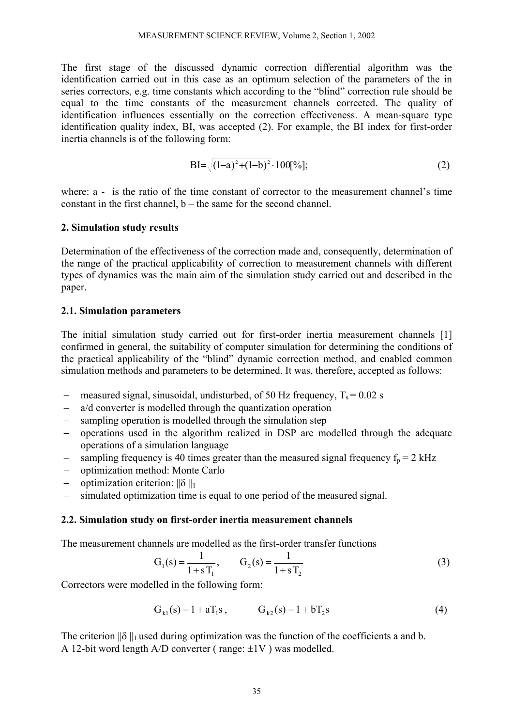The first stage of the discussed dynamic correction differential algorithm was the identification carried out in this case as an optimum selection of the parameters of the in series correctors, e.g. time constants which according to the "blind" correction rule should be equal to the time constants of the measurement channels corrected. The quality of identification influences essentially on the correction effectiveness. A mean-square type identification quality index, BI, was accepted (2). For example, the BI index for first-order inertia channels is of the following form:

$$
BI = \sqrt{(1-a)^2 + (1-b)^2} \cdot 100[\%];
$$
\n(2)

where: a - is the ratio of the time constant of corrector to the measurement channel's time constant in the first channel,  $b -$  the same for the second channel.

### **2. Simulation study results**

Determination of the effectiveness of the correction made and, consequently, determination of the range of the practical applicability of correction to measurement channels with different types of dynamics was the main aim of the simulation study carried out and described in the paper.

### **2.1. Simulation parameters**

The initial simulation study carried out for first-order inertia measurement channels [1] confirmed in general, the suitability of computer simulation for determining the conditions of the practical applicability of the "blind" dynamic correction method, and enabled common simulation methods and parameters to be determined. It was, therefore, accepted as follows:

- − measured signal, sinusoidal, undisturbed, of 50 Hz frequency, T<sub>s</sub> = 0.02 s
- − a/d converter is modelled through the quantization operation
- − sampling operation is modelled through the simulation step
- − operations used in the algorithm realized in DSP are modelled through the adequate operations of a simulation language
- $\frac{1}{2}$  sampling frequency is 40 times greater than the measured signal frequency  $f_p = 2$  kHz
- − optimization method: Monte Carlo
- − optimization criterion: ||δ ||1
- − simulated optimization time is equal to one period of the measured signal.

### **2.2. Simulation study on first-order inertia measurement channels**

The measurement channels are modelled as the first-order transfer functions

$$
G_1(s) = \frac{1}{1 + sT_1}, \qquad G_2(s) = \frac{1}{1 + sT_2}
$$
 (3)

Correctors were modelled in the following form:

$$
G_{k1}(s) = 1 + aT_1s, \t G_{k2}(s) = 1 + bT_2s \t (4)
$$

The criterion  $\|\delta\|_1$  used during optimization was the function of the coefficients a and b. A 12-bit word length  $A/D$  converter (range:  $\pm 1V$ ) was modelled.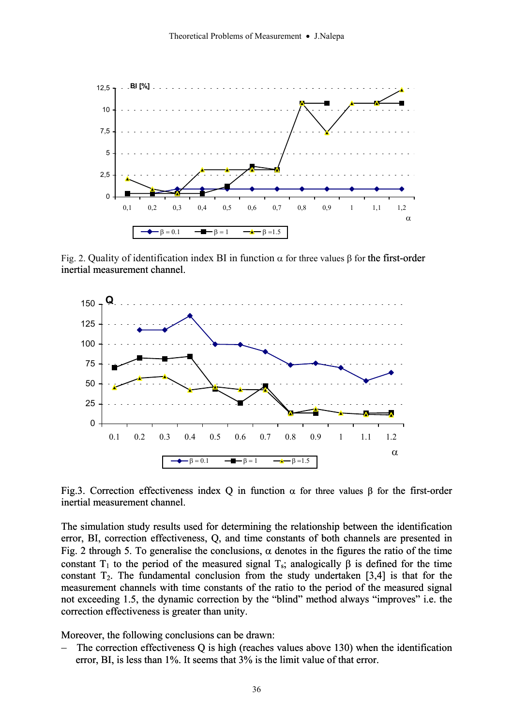

Fig. 2. Quality of identification index BI in function  $\alpha$  for three values  $\beta$  for the first-order inertial measurement channel.



Fig.3. Correction effectiveness index Q in function  $\alpha$  for three values  $\beta$  for the first-order inertial measurement channel.

The simulation study results used for determining the relationship between the identification error, BI, correction effectiveness, Q, and time constants of both channels are presented in Fig. 2 through 5. To generalise the conclusions,  $\alpha$  denotes in the figures the ratio of the time constant T<sub>1</sub> to the period of the measured signal T<sub>s</sub>; analogically  $\beta$  is defined for the time constant  $T_2$ . The fundamental conclusion from the study undertaken [3,4] is that for the measurement channels with time constants of the ratio to the period of the measured signal not exceeding 1.5, the dynamic correction by the "blind" method always "improves" i.e. the correction effectiveness is greater than unity.

Moreover, the following conclusions can be drawn:

The correction effectiveness Q is high (reaches values above 130) when the identification error, BI, is less than 1%. It seems that 3% is the limit value of that error. −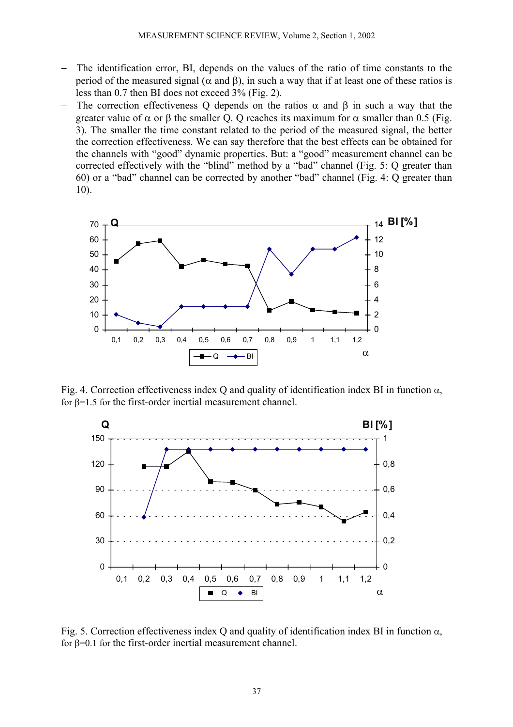- The identification error, BI, depends on the values of the ratio of time constants to the period of the measured signal (α and β), in such a way that if at least one of these ratios is less than 0.7 then BI does not exceed 3% (Fig. 2).
- 3). The smaller the time constant related to the period of the measured signal, the better The correction effectiveness Q depends on the ratios  $\alpha$  and  $\beta$  in such a way that the greater value of  $\alpha$  or  $\beta$  the smaller Q. Q reaches its maximum for  $\alpha$  smaller than 0.5 (Fig. the correction effectiveness. We can say therefore that the best effects can be obtained for the channels with "good" dynamic properties. But: a "good" measurement channel can be corrected effectively with the "blind" method by a "bad" channel (Fig. 5: Q greater than 60) or a "bad" channel can be corrected by another "bad" channel (Fig. 4: Q greater than 10).



Fig. 4. Correction effectiveness index Q and quality of identification index BI in function  $\alpha$ , for β=1.5 for the first-order inertial measurement channel.



Fig. 5. Correction effectiveness index Q and quality of identification index BI in function  $\alpha$ , for β=0.1 for the first-order inertial measurement channel.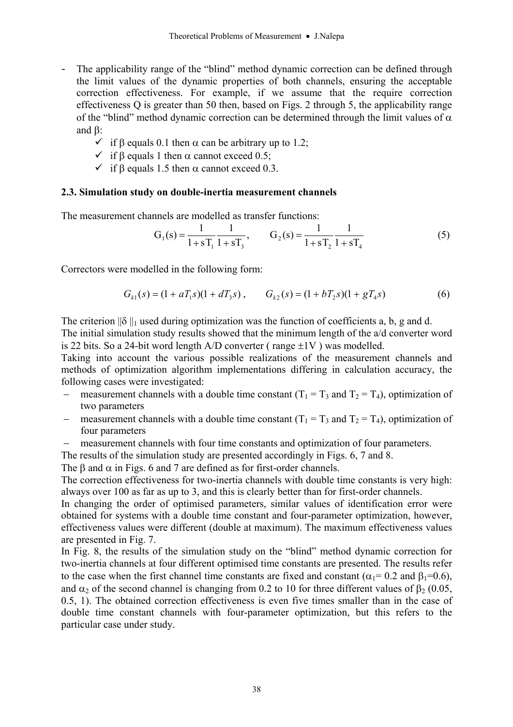- The applicability range of the "blind" method dynamic correction can be defined through the limit values of the dynamic properties of both channels, ensuring the acceptable correction effectiveness. For example, if we assume that the require correction effectiveness Q is greater than 50 then, based on Figs. 2 through 5, the applicability range of the "blind" method dynamic correction can be determined through the limit values of  $\alpha$ and β:
	- $\checkmark$  if β equals 0.1 then  $\alpha$  can be arbitrary up to 1.2;
	- $\checkmark$  if β equals 1 then  $\alpha$  cannot exceed 0.5;
	- $\checkmark$  if β equals 1.5 then  $\alpha$  cannot exceed 0.3.

### **2.3. Simulation study on double-inertia measurement channels**

The measurement channels are modelled as transfer functions:

$$
G_1(s) = \frac{1}{1+sT_1} \frac{1}{1+sT_3}, \qquad G_2(s) = \frac{1}{1+sT_2} \frac{1}{1+sT_4}
$$
(5)

Correctors were modelled in the following form:

$$
G_{k1}(s) = (1 + aT_1s)(1 + dT_3s), \qquad G_{k2}(s) = (1 + bT_2s)(1 + gT_4s)
$$
(6)

The criterion  $\|\delta\|_1$  used during optimization was the function of coefficients a, b, g and d. The initial simulation study results showed that the minimum length of the a/d converter word is 22 bits. So a 24-bit word length  $A/D$  converter ( range  $\pm 1V$  ) was modelled.

Taking into account the various possible realizations of the measurement channels and methods of optimization algorithm implementations differing in calculation accuracy, the following cases were investigated:

- measurement channels with a double time constant  $(T_1 = T_3$  and  $T_2 = T_4$ ), optimization of two parameters
- measurement channels with a double time constant  $(T_1 = T_3$  and  $T_2 = T_4$ ), optimization of four parameters
- measurement channels with four time constants and optimization of four parameters.
- The results of the simulation study are presented accordingly in Figs. 6, 7 and 8.

The  $\beta$  and  $\alpha$  in Figs. 6 and 7 are defined as for first-order channels.

The correction effectiveness for two-inertia channels with double time constants is very high: always over 100 as far as up to 3, and this is clearly better than for first-order channels.

In changing the order of optimised parameters, similar values of identification error were obtained for systems with a double time constant and four-parameter optimization, however, effectiveness values were different (double at maximum). The maximum effectiveness values are presented in Fig. 7.

and  $\alpha_2$  of the second channel is changing from 0.2 to 10 for three different values of  $\beta_2$  (0.05, In Fig. 8, the results of the simulation study on the "blind" method dynamic correction for two-inertia channels at four different optimised time constants are presented. The results refer to the case when the first channel time constants are fixed and constant ( $\alpha_1$ = 0.2 and  $\beta_1$ =0.6), 0.5, 1). The obtained correction effectiveness is even five times smaller than in the case of double time constant channels with four-parameter optimization, but this refers to the particular case under study.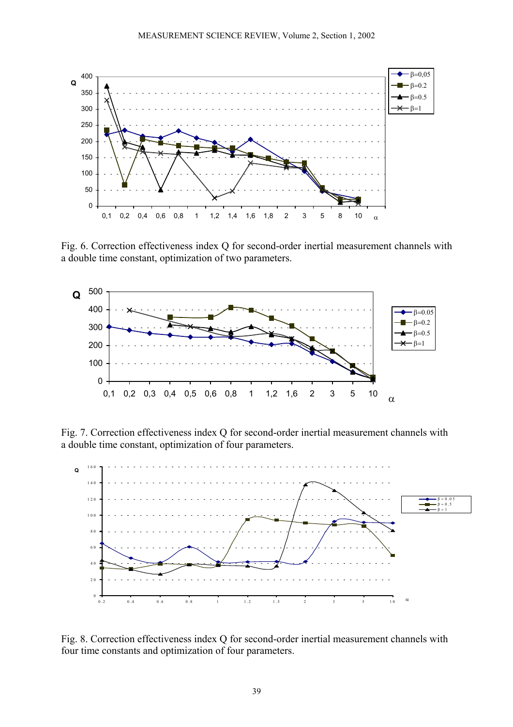

Fig. 6. Correction effectiveness index Q for second-order inertial measurement channels with a double time constant, optimization of two parameters.



Fig. 7. Correction effectiveness index Q for second-order inertial measurement channels with a double time constant, optimization of four parameters.



Fig. 8. Correction effectiveness index Q for second-order inertial measurement channels with four time constants and optimization of four parameters.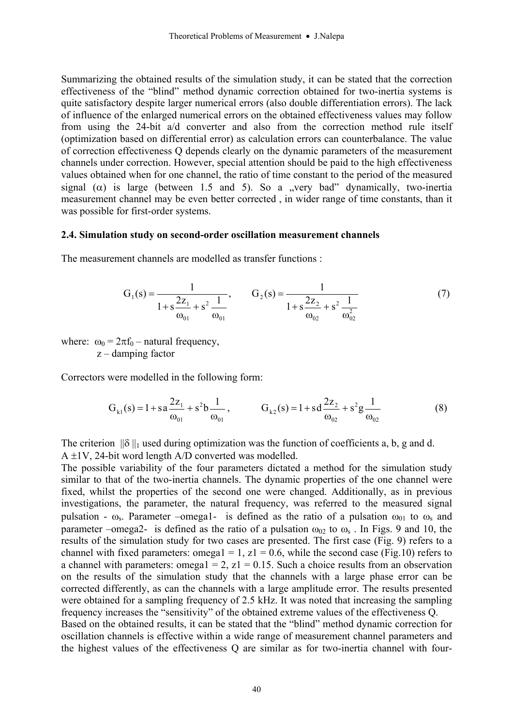Summarizing the obtained results of the simulation study, it can be stated that the correction effectiveness of the "blind" method dynamic correction obtained for two-inertia systems is quite satisfactory despite larger numerical errors (also double differentiation errors). The lack of influence of the enlarged numerical errors on the obtained effectiveness values may follow from using the 24-bit a/d converter and also from the correction method rule itself (optimization based on differential error) as calculation errors can counterbalance. The value of correction effectiveness Q depends clearly on the dynamic parameters of the measurement channels under correction. However, special attention should be paid to the high effectiveness values obtained when for one channel, the ratio of time constant to the period of the measured signal ( $\alpha$ ) is large (between 1.5 and 5). So a "very bad" dynamically, two-inertia measurement channel may be even better corrected, in wider range of time constants, than it was possible for first-order systems.

#### **nt channels 2.4. Simulation study on second-order oscillation measureme**

The measurement channels are modelled as transfer functions :

$$
G_1(s) = \frac{1}{1 + s\frac{2z_1}{\omega_{01}} + s^2\frac{1}{\omega_{01}}}, \qquad G_2(s) = \frac{1}{1 + s\frac{2z_2}{\omega_{02}} + s^2\frac{1}{\omega_{02}^2}}
$$
(7)

where:  $\omega_0 = 2\pi f_0$  – natural frequency,  $z$  – damping factor

Correctors were modelled in the following form:

$$
G_{k1}(s) = 1 + sa \frac{2z_1}{\omega_{01}} + s^2 b \frac{1}{\omega_{01}}, \qquad G_{k2}(s) = 1 + sd \frac{2z_2}{\omega_{02}} + s^2 g \frac{1}{\omega_{02}}
$$
(8)

The criterion  $\|\delta\|_1$  used during optimization was the function of coefficients a, b, g and d. A ±1V, 24-bit word length A/D converted was modelled.

corrected differently, as can the channels with a large amplitude error. The results presented were obtained for a sampling frequency of 2.5 kHz. It was noted that increasing the sampling frequency increases the "sensitivity" of the obtained extreme values of the effectiveness Q. Based on the obtained results, it can be stated that the "blind" method dynamic correction for oscillation channels is effective within a wide range of measurement channel parameters and the highest values of the effectiveness Q are similar as for two-inertia channel with four-The possible variability of the four parameters dictated a method for the simulation study similar to that of the two-inertia channels. The dynamic properties of the one channel were fixed, whilst the properties of the second one were changed. Additionally, as in previous investigations, the parameter, the natural frequency, was referred to the measured signal pulsation -  $\omega_s$ . Parameter –omega1- is defined as the ratio of a pulsation  $\omega_{01}$  to  $\omega_s$  and parameter –omega2- is defined as the ratio of a pulsation  $\omega_{02}$  to  $\omega_s$ . In Figs. 9 and 10, the results of the simulation study for two cases are presented. The first case (Fig. 9) refers to a channel with fixed parameters: omega1 = 1,  $z1 = 0.6$ , while the second case (Fig.10) refers to a channel with parameters: omega $1 = 2$ ,  $z1 = 0.15$ . Such a choice results from an observation on the results of the simulation study that the channels with a large phase error can be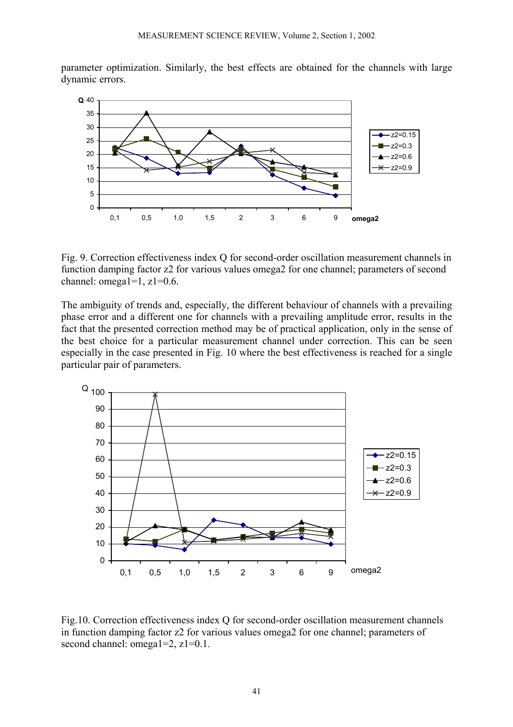parameter optimization. Similarly, the best effects are obtained for the channels with large dynamic errors.



Fig. 9. Correction effectiveness index Q for second-order oscillation measurement channels in function damping factor z2 for various values omega2 for one channel; parameters of second channel: omega $1=1$ ,  $z1=0.6$ .

fact that the presented correction method may be of practical application, only in the sense of the best choice for a particular measurement channel under correction. This can be seen The ambiguity of trends and, especially, the different behaviour of channels with a prevailing phase error and a different one for channels with a prevailing amplitude error, results in the especially in the case presented in Fig. 10 where the best effectiveness is reached for a single particular pair of parameters.



Fig.10. Correction effectiveness index Q for second-order oscillation measurement channels in function damping factor z2 for various values omega2 for one channel; parameters of second channel: omega1=2, z1=0.1.